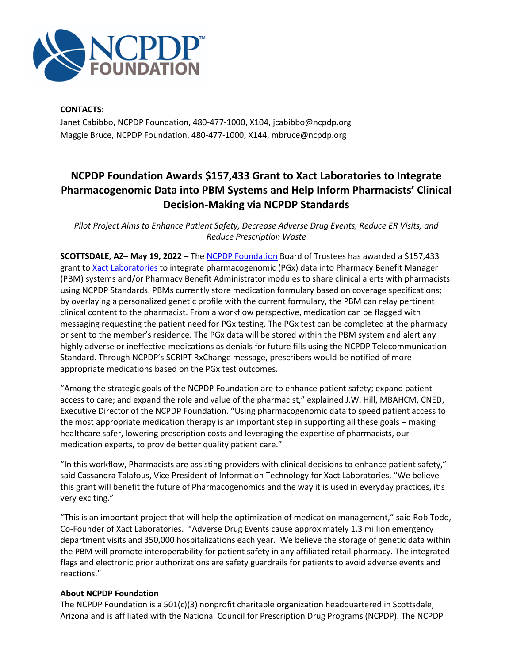

## **CONTACTS:**

Janet Cabibbo, NCPDP Foundation, 480-477-1000, X104, jcabibbo@ncpdp.org Maggie Bruce, NCPDP Foundation, 480-477-1000, X144, mbruce@ncpdp.org

## **NCPDP Foundation Awards \$157,433 Grant to Xact Laboratories to Integrate Pharmacogenomic Data into PBM Systems and Help Inform Pharmacists' Clinical Decision-Making via NCPDP Standards**

*Pilot Project Aims to Enhance Patient Safety, Decrease Adverse Drug Events, Reduce ER Visits, and Reduce Prescription Waste*

**SCOTTSDALE, AZ– May 19, 2022 –** Th[e NCPDP Foundation](http://ncpdpfoundation.org/) Board of Trustees has awarded a \$157,433 grant to [Xact Laboratories](https://xactlaboratories.com/) to integrate pharmacogenomic (PGx) data into Pharmacy Benefit Manager (PBM) systems and/or Pharmacy Benefit Administrator modules to share clinical alerts with pharmacists using NCPDP Standards. PBMs currently store medication formulary based on coverage specifications; by overlaying a personalized genetic profile with the current formulary, the PBM can relay pertinent clinical content to the pharmacist. From a workflow perspective, medication can be flagged with messaging requesting the patient need for PGx testing. The PGx test can be completed at the pharmacy or sent to the member's residence. The PGx data will be stored within the PBM system and alert any highly adverse or ineffective medications as denials for future fills using the NCPDP Telecommunication Standard. Through NCPDP's SCRIPT RxChange message, prescribers would be notified of more appropriate medications based on the PGx test outcomes.

"Among the strategic goals of the NCPDP Foundation are to enhance patient safety; expand patient access to care; and expand the role and value of the pharmacist," explained J.W. Hill, MBAHCM, CNED, Executive Director of the NCPDP Foundation. "Using pharmacogenomic data to speed patient access to the most appropriate medication therapy is an important step in supporting all these goals – making healthcare safer, lowering prescription costs and leveraging the expertise of pharmacists, our medication experts, to provide better quality patient care."

"In this workflow, Pharmacists are assisting providers with clinical decisions to enhance patient safety," said Cassandra Talafous, Vice President of Information Technology for Xact Laboratories. "We believe this grant will benefit the future of Pharmacogenomics and the way it is used in everyday practices, it's very exciting."

"This is an important project that will help the optimization of medication management," said Rob Todd, Co-Founder of Xact Laboratories. "Adverse Drug Events cause approximately 1.3 million emergency department visits and 350,000 hospitalizations each year. We believe the storage of genetic data within the PBM will promote interoperability for patient safety in any affiliated retail pharmacy. The integrated flags and electronic prior authorizations are safety guardrails for patients to avoid adverse events and reactions."

## **About NCPDP Foundation**

The NCPDP Foundation is a 501(c)(3) nonprofit charitable organization headquartered in Scottsdale, Arizona and is affiliated with the National Council for Prescription Drug Programs (NCPDP). The NCPDP